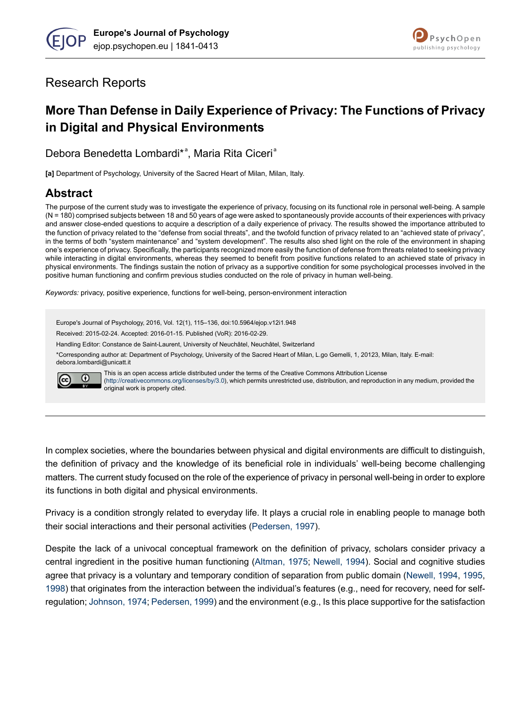

# Research Reports

# **More Than Defense in Daily Experience of Privacy: The Functions of Privacy in Digital and Physical Environments**

Debora Benedetta Lombardi\*<sup>ª</sup>, Maria Rita Ciceri<sup>ª</sup>

**[a]** Department of Psychology, University of the Sacred Heart of Milan, Milan, Italy.

# **Abstract**

The purpose of the current study was to investigate the experience of privacy, focusing on its functional role in personal well-being. A sample (N = 180) comprised subjects between 18 and 50 years of age were asked to spontaneously provide accounts of their experiences with privacy and answer close-ended questions to acquire a description of a daily experience of privacy. The results showed the importance attributed to the function of privacy related to the "defense from social threats", and the twofold function of privacy related to an "achieved state of privacy", in the terms of both "system maintenance" and "system development". The results also shed light on the role of the environment in shaping one's experience of privacy. Specifically, the participants recognized more easily the function of defense from threats related to seeking privacy while interacting in digital environments, whereas they seemed to benefit from positive functions related to an achieved state of privacy in physical environments. The findings sustain the notion of privacy as a supportive condition for some psychological processes involved in the positive human functioning and confirm previous studies conducted on the role of privacy in human well-being.

*Keywords:* privacy, positive experience, functions for well-being, person-environment interaction

Europe's Journal of Psychology, 2016, Vol. 12(1), 115–136, doi:10.5964/ejop.v12i1.948 Received: 2015-02-24. Accepted: 2016-01-15. Published (VoR): 2016-02-29. Handling Editor: Constance de Saint-Laurent, University of Neuchâtel, Neuchâtel, Switzerland \*Corresponding author at: Department of Psychology, University of the Sacred Heart of Milan, L.go Gemelli, 1, 20123, Milan, Italy. E-mail: debora.lombardi@unicatt.it This is an open access article distributed under the terms of the Creative Commons Attribution License  $\odot$  $\odot$ [\(http://creativecommons.org/licenses/by/3.0\)](http://creativecommons.org/licenses/by/3.0), which permits unrestricted use, distribution, and reproduction in any medium, provided the original work is properly cited.

In complex societies, where the boundaries between physical and digital environments are difficult to distinguish, the definition of privacy and the knowledge of its beneficial role in individuals' well-being become challenging matters. The current study focused on the role of the experience of privacy in personal well-being in order to explore its functions in both digital and physical environments.

Privacy is a condition strongly related to everyday life. It plays a crucial role in enabling people to manage both their social interactions and their personal activities ([Pedersen,](#page-17-0) 1997).

Despite the lack of a univocal conceptual framework on the definition of privacy, scholars consider privacy a central ingredient in the positive human functioning ([Altman,](#page-15-0) 1975; [Newell,](#page-17-1) 1994). Social and cognitive studies agree that privacy is a voluntary and temporary condition of separation from public domain ([Newell,](#page-17-1) 1994, [1995](#page-17-2), [1998](#page-17-3)) that originates from the interaction between the individual's features (e.g., need for recovery, need for selfregulation; [Johnson,](#page-16-0) 1974; [Pedersen,](#page-18-0) 1999) and the environment (e.g., Is this place supportive for the satisfaction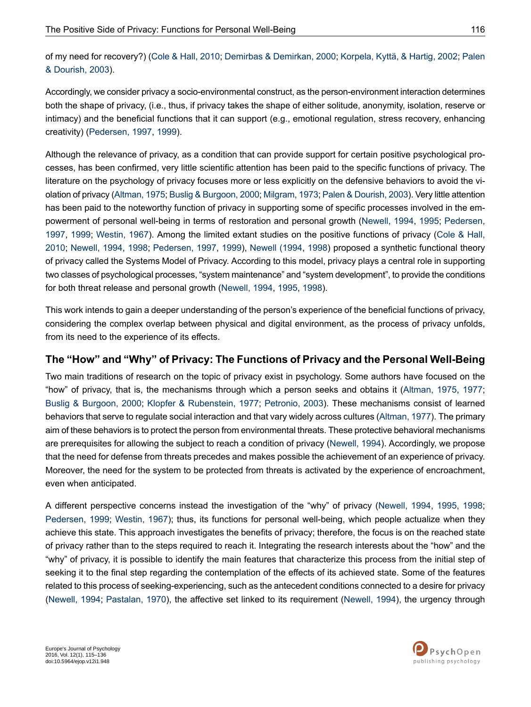of my need for recovery?) (Cole & Hall, [2010;](#page-15-1) Demirbas & [Demirkan,](#page-15-2) 2000; [Korpela,](#page-17-4) Kyttä, & Hartig, 2002; [Palen](#page-17-5) & [Dourish,](#page-17-5) 2003).

Accordingly, we consider privacy a socio-environmental construct, as the person-environment interaction determines both the shape of privacy, (i.e., thus, if privacy takes the shape of either solitude, anonymity, isolation, reserve or intimacy) and the beneficial functions that it can support (e.g., emotional regulation, stress recovery, enhancing creativity) ([Pedersen,](#page-17-0) 1997, [1999](#page-18-0)).

Although the relevance of privacy, as a condition that can provide support for certain positive psychological processes, has been confirmed, very little scientific attention has been paid to the specific functions of privacy. The literature on the psychology of privacy focuses more or less explicitly on the defensive behaviors to avoid the violation of privacy (Altman, 1975; Buslig & Burgoon, 2000; Milgram, 1973; Palen & Dourish, 2003). Very little attention has been paid to the noteworthy function of privacy in supporting some of specific processes involved in the empowerment of personal well-being in terms of restoration and personal growth ([Newell,](#page-17-1) 1994, [1995;](#page-17-2) [Pedersen,](#page-17-0) [1997](#page-17-0), [1999;](#page-18-0) [Westin,](#page-19-0) 1967). Among the limited extant studies on the positive functions of privacy [\(Cole](#page-15-1) & Hall, [2010](#page-15-1); [Newell,](#page-17-1) 1994, [1998;](#page-17-3) [Pedersen,](#page-17-0) 1997, [1999](#page-18-0)), [Newell](#page-17-1) (1994, [1998](#page-17-3)) proposed a synthetic functional theory of privacy called the Systems Model of Privacy. According to this model, privacy plays a central role in supporting two classes of psychological processes, "system maintenance" and "system development", to provide the conditions for both threat release and personal growth [\(Newell,](#page-17-1) 1994, [1995,](#page-17-2) [1998\)](#page-17-3).

This work intends to gain a deeper understanding of the person's experience of the beneficial functions of privacy, considering the complex overlap between physical and digital environment, as the process of privacy unfolds, from its need to the experience of its effects.

### **The "How" and "Why" of Privacy: The Functions of Privacy and the Personal Well-Being**

Two main traditions of research on the topic of privacy exist in psychology. Some authors have focused on the "how" of privacy, that is, the mechanisms through which a person seeks and obtains it ([Altman,](#page-15-0) 1975, [1977](#page-15-4); Buslig & [Burgoon,](#page-15-3) 2000; Klopfer & [Rubenstein,](#page-17-7) 1977; [Petronio,](#page-18-1) 2003). These mechanisms consist of learned behaviors that serve to regulate social interaction and that vary widely across cultures ([Altman,](#page-15-4) 1977). The primary aim of these behaviors is to protect the person from environmental threats. These protective behavioral mechanisms are prerequisites for allowing the subject to reach a condition of privacy ([Newell,](#page-17-1) 1994). Accordingly, we propose that the need for defense from threats precedes and makes possible the achievement of an experience of privacy. Moreover, the need for the system to be protected from threats is activated by the experience of encroachment, even when anticipated.

A different perspective concerns instead the investigation of the "why" of privacy ([Newell,](#page-17-1) 1994, [1995](#page-17-2), [1998](#page-17-3); [Pedersen,](#page-18-0) 1999; [Westin,](#page-19-0) 1967); thus, its functions for personal well-being, which people actualize when they achieve this state. This approach investigates the benefits of privacy; therefore, the focus is on the reached state of privacy rather than to the steps required to reach it. Integrating the research interests about the "how" and the "why" of privacy, it is possible to identify the main features that characterize this process from the initial step of seeking it to the final step regarding the contemplation of the effects of its achieved state. Some of the features related to this process of seeking-experiencing, such as the antecedent conditions connected to a desire for privacy [\(Newell,](#page-17-1) 1994; [Pastalan,](#page-17-8) 1970), the affective set linked to its requirement ([Newell,](#page-17-1) 1994), the urgency through

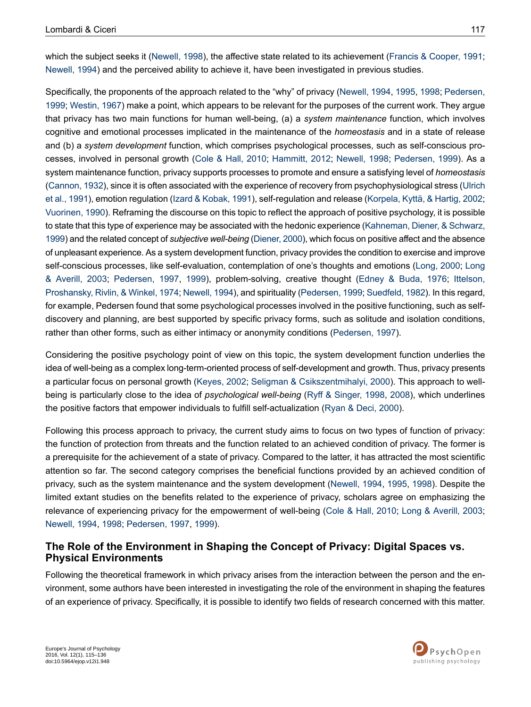which the subject seeks it [\(Newell,](#page-17-3) 1998), the affective state related to its achievement (Francis & [Cooper,](#page-16-1) 1991; [Newell,](#page-17-1) 1994) and the perceived ability to achieve it, have been investigated in previous studies.

Specifically, the proponents of the approach related to the "why" of privacy [\(Newell,](#page-17-1) 1994, [1995,](#page-17-2) [1998](#page-17-3); [Pedersen,](#page-18-0) [1999](#page-18-0); [Westin,](#page-19-0) 1967) make a point, which appears to be relevant for the purposes of the current work. They argue that privacy has two main functions for human well-being, (a) a *system maintenance* function, which involves cognitive and emotional processes implicated in the maintenance of the *homeostasis* and in a state of release and (b) a *system development* function, which comprises psychological processes, such as self-conscious processes, involved in personal growth (Cole & Hall, [2010](#page-15-1); [Hammitt,](#page-16-2) 2012; [Newell,](#page-17-3) 1998; [Pedersen,](#page-18-0) 1999). As a system maintenance function, privacy supports processes to promote and ensure a satisfying level of *homeostasis* [\(Cannon,](#page-15-5) 1932), since it is often associated with the experience of recovery from psychophysiological stress [\(Ulrich](#page-18-2) et al., [1991](#page-18-2)), emotion regulation (Izard & [Kobak,](#page-16-3) 1991), self-regulation and release [\(Korpela,](#page-17-4) Kyttä, & Hartig, 2002; [Vuorinen,](#page-19-1) 1990). Reframing the discourse on this topic to reflect the approach of positive psychology, it is possible to state that this type of experience may be associated with the hedonic experience ([Kahneman,](#page-16-4) Diener, & Schwarz, [1999\)](#page-16-4) and the related concept of *subjective well-being* (Diener, 2000), which focus on positive affect and the absence of unpleasant experience. As a system development function, privacy provides the condition to exercise and improve self-conscious processes, like self-evaluation, contemplation of one's thoughts and emotions [\(Long,](#page-17-9) 2000; [Long](#page-17-10) & [Averill,](#page-17-10) 2003; [Pedersen,](#page-17-0) 1997, [1999\)](#page-18-0), problem-solving, creative thought ([Edney](#page-15-7) & Buda, 1976; [Ittelson,](#page-16-5) [Proshansky,](#page-16-5) Rivlin, & Winkel, 1974; [Newell,](#page-17-1) 1994), and spirituality ([Pedersen,](#page-18-0) 1999; [Suedfeld,](#page-18-3) 1982). In this regard, for example, Pedersen found that some psychological processes involved in the positive functioning, such as selfdiscovery and planning, are best supported by specific privacy forms, such as solitude and isolation conditions, rather than other forms, such as either intimacy or anonymity conditions ([Pedersen,](#page-17-0) 1997).

Considering the positive psychology point of view on this topic, the system development function underlies the idea of well-being as a complex long-term-oriented process of self-development and growth. Thus, privacy presents a particular focus on personal growth ([Keyes,](#page-17-11) 2002; Seligman & [Csikszentmihalyi,](#page-18-4) 2000). This approach to wellbeing is particularly close to the idea of *psychological well-being* (Ryff & [Singer,](#page-18-5) 1998, [2008\)](#page-18-6), which underlines the positive factors that empower individuals to fulfill self-actualization [\(Ryan](#page-18-7) & Deci, 2000).

Following this process approach to privacy, the current study aims to focus on two types of function of privacy: the function of protection from threats and the function related to an achieved condition of privacy. The former is a prerequisite for the achievement of a state of privacy. Compared to the latter, it has attracted the most scientific attention so far. The second category comprises the beneficial functions provided by an achieved condition of privacy, such as the system maintenance and the system development ([Newell,](#page-17-1) 1994, [1995,](#page-17-2) [1998\)](#page-17-3). Despite the limited extant studies on the benefits related to the experience of privacy, scholars agree on emphasizing the relevance of experiencing privacy for the empowerment of well-being (Cole & Hall, [2010;](#page-15-1) Long & [Averill,](#page-17-10) 2003; [Newell,](#page-17-1) 1994, [1998;](#page-17-3) [Pedersen,](#page-17-0) 1997, [1999](#page-18-0)).

### **The Role of the Environment in Shaping the Concept of Privacy: Digital Spaces vs. Physical Environments**

Following the theoretical framework in which privacy arises from the interaction between the person and the environment, some authors have been interested in investigating the role of the environment in shaping the features of an experience of privacy. Specifically, it is possible to identify two fields of research concerned with this matter.

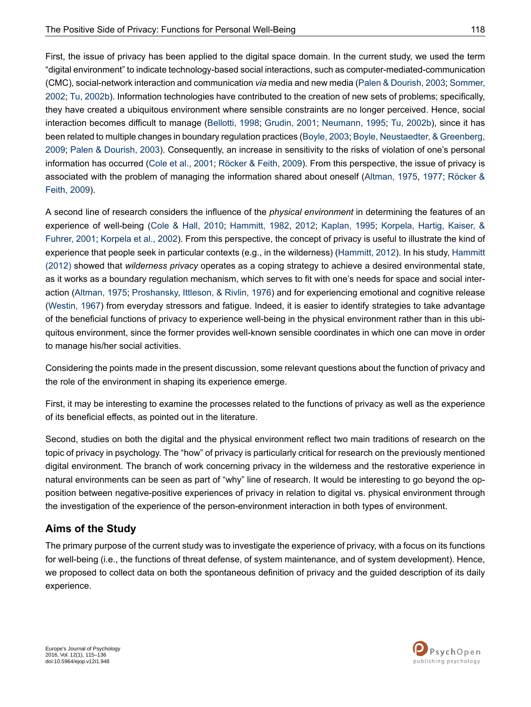First, the issue of privacy has been applied to the digital space domain. In the current study, we used the term "digital environment" to indicate technology-based social interactions, such as computer-mediated-communication (CMC), social-network interaction and communication *via* media and new media (Palen & [Dourish,](#page-17-5) 2003; [Sommer,](#page-18-8) [2002](#page-18-8); Tu, [2002b\)](#page-18-9). Information technologies have contributed to the creation of new sets of problems; specifically, they have created a ubiquitous environment where sensible constraints are no longer perceived. Hence, social interaction becomes difficult to manage ([Bellotti,](#page-15-8) 1998; [Grudin,](#page-16-6) 2001; [Neumann,](#page-17-12) 1995; Tu, [2002b\)](#page-18-9), since it has been related to multiple changes in boundary regulation practices (Boyle, 2003; Boyle, [Neustaedter,](#page-15-10) & Greenberg, [2009](#page-15-10); Palen & [Dourish,](#page-17-5) 2003). Consequently, an increase in sensitivity to the risks of violation of one's personal information has occurred (Cole et al., [2001;](#page-15-11) [Röcker](#page-18-10) & Feith, 2009). From this perspective, the issue of privacy is associated with the problem of managing the information shared about oneself [\(Altman,](#page-15-0) 1975, [1977;](#page-15-4) [Röcker](#page-18-10) & [Feith,](#page-18-10) 2009).

A second line of research considers the influence of the *physical environment* in determining the features of an experience of well-being (Cole & Hall, [2010](#page-15-1); [Hammitt,](#page-16-7) 1982, [2012;](#page-16-2) [Kaplan,](#page-16-8) 1995; [Korpela,](#page-17-13) Hartig, Kaiser, & [Fuhrer,](#page-17-13) 2001; [Korpela](#page-17-4) et al., 2002). From this perspective, the concept of privacy is useful to illustrate the kind of experience that people seek in particular contexts (e.g., in the wilderness) [\(Hammitt,](#page-16-2) 2012). In his study, [Hammitt](#page-16-2) [\(2012\)](#page-16-2) showed that *wilderness privacy* operates as a coping strategy to achieve a desired environmental state, as it works as a boundary regulation mechanism, which serves to fit with one's needs for space and social interaction ([Altman,](#page-15-0) 1975; [Proshansky,](#page-18-11) Ittleson, & Rivlin, 1976) and for experiencing emotional and cognitive release [\(Westin,](#page-19-0) 1967) from everyday stressors and fatigue. Indeed, it is easier to identify strategies to take advantage of the beneficial functions of privacy to experience well-being in the physical environment rather than in this ubiquitous environment, since the former provides well-known sensible coordinates in which one can move in order to manage his/her social activities.

Considering the points made in the present discussion, some relevant questions about the function of privacy and the role of the environment in shaping its experience emerge.

First, it may be interesting to examine the processes related to the functions of privacy as well as the experience of its beneficial effects, as pointed out in the literature.

Second, studies on both the digital and the physical environment reflect two main traditions of research on the topic of privacy in psychology. The "how" of privacy is particularly critical for research on the previously mentioned digital environment. The branch of work concerning privacy in the wilderness and the restorative experience in natural environments can be seen as part of "why" line of research. It would be interesting to go beyond the opposition between negative-positive experiences of privacy in relation to digital vs. physical environment through the investigation of the experience of the person-environment interaction in both types of environment.

# **Aims of the Study**

The primary purpose of the current study was to investigate the experience of privacy, with a focus on its functions for well-being (i.e., the functions of threat defense, of system maintenance, and of system development). Hence, we proposed to collect data on both the spontaneous definition of privacy and the guided description of its daily experience.

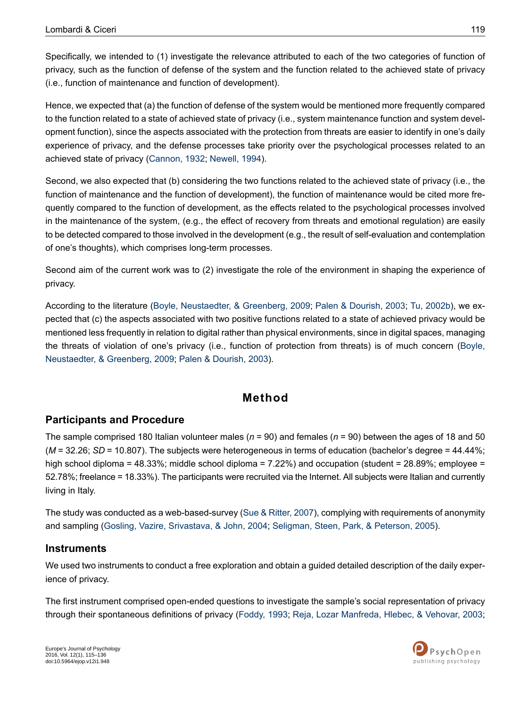Specifically, we intended to (1) investigate the relevance attributed to each of the two categories of function of privacy, such as the function of defense of the system and the function related to the achieved state of privacy (i.e., function of maintenance and function of development).

Hence, we expected that (a) the function of defense of the system would be mentioned more frequently compared to the function related to a state of achieved state of privacy (i.e., system maintenance function and system development function), since the aspects associated with the protection from threats are easier to identify in one's daily experience of privacy, and the defense processes take priority over the psychological processes related to an achieved state of privacy [\(Cannon,](#page-15-5) 1932; [Newell,](#page-17-1) 1994).

Second, we also expected that (b) considering the two functions related to the achieved state of privacy (i.e., the function of maintenance and the function of development), the function of maintenance would be cited more frequently compared to the function of development, as the effects related to the psychological processes involved in the maintenance of the system, (e.g., the effect of recovery from threats and emotional regulation) are easily to be detected compared to those involved in the development (e.g., the result of self-evaluation and contemplation of one's thoughts), which comprises long-term processes.

Second aim of the current work was to (2) investigate the role of the environment in shaping the experience of privacy.

According to the literature (Boyle, [Neustaedter,](#page-15-10) & Greenberg, 2009; Palen & [Dourish,](#page-17-5) 2003; Tu, [2002b](#page-18-9)), we expected that (c) the aspects associated with two positive functions related to a state of achieved privacy would be mentioned less frequently in relation to digital rather than physical environments, since in digital spaces, managing the threats of violation of one's privacy (i.e., function of protection from threats) is of much concern [\(Boyle,](#page-15-10) [Neustaedter,](#page-15-10) & Greenberg, 2009; Palen & [Dourish,](#page-17-5) 2003).

# **Method**

# **Participants and Procedure**

The sample comprised 180 Italian volunteer males (*n* = 90) and females (*n* = 90) between the ages of 18 and 50 (*M* = 32.26; *SD* = 10.807). The subjects were heterogeneous in terms of education (bachelor's degree = 44.44%; high school diploma = 48.33%; middle school diploma = 7.22%) and occupation (student = 28.89%; employee = 52.78%; freelance = 18.33%). The participants were recruited via the Internet. All subjects were Italian and currently living in Italy.

The study was conducted as a web-based-survey (Sue & [Ritter,](#page-18-12) 2007), complying with requirements of anonymity and sampling (Gosling, Vazire, [Srivastava,](#page-16-9) & John, 2004; [Seligman,](#page-18-13) Steen, Park, & Peterson, 2005).

# **Instruments**

We used two instruments to conduct a free exploration and obtain a guided detailed description of the daily experience of privacy.

The first instrument comprised open-ended questions to investigate the sample's social representation of privacy through their spontaneous definitions of privacy ([Foddy,](#page-16-10) 1993; Reja, Lozar [Manfreda,](#page-18-14) Hlebec, & Vehovar, 2003;

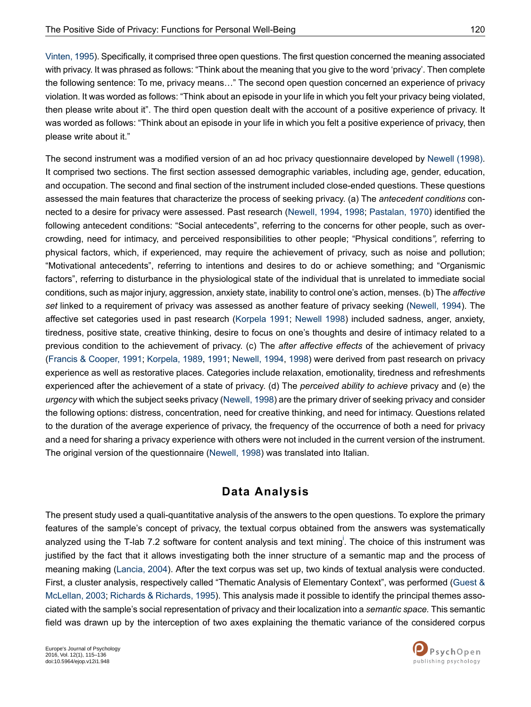Vinten, 1995). Specifically, it comprised three open questions. The first question concerned the meaning associated with privacy. It was phrased as follows: "Think about the meaning that you give to the word 'privacy'. Then complete the following sentence: To me, privacy means…" The second open question concerned an experience of privacy violation. It was worded as follows: "Think about an episode in your life in which you felt your privacy being violated, then please write about it". The third open question dealt with the account of a positive experience of privacy. It was worded as follows: "Think about an episode in your life in which you felt a positive experience of privacy, then please write about it."

The second instrument was a modified version of an ad hoc privacy questionnaire developed by [Newell](#page-17-3) (1998). It comprised two sections. The first section assessed demographic variables, including age, gender, education, and occupation. The second and final section of the instrument included close-ended questions. These questions assessed the main features that characterize the process of seeking privacy. (a) The *antecedent conditions* connected to a desire for privacy were assessed. Past research [\(Newell,](#page-17-1) 1994, [1998;](#page-17-3) [Pastalan,](#page-17-8) 1970) identified the following antecedent conditions: "Social antecedents", referring to the concerns for other people, such as overcrowding, need for intimacy, and perceived responsibilities to other people; "Physical conditions*",* referring to physical factors, which, if experienced, may require the achievement of privacy, such as noise and pollution; "Motivational antecedents", referring to intentions and desires to do or achieve something; and "Organismic factors", referring to disturbance in the physiological state of the individual that is unrelated to immediate social conditions, such as major injury, aggression, anxiety state, inability to control one's action, menses. (b) The *affective set* linked to a requirement of privacy was assessed as another feature of privacy seeking [\(Newell,](#page-17-1) 1994). The affective set categories used in past research [\(Korpela](#page-17-14) 1991; [Newell](#page-17-3) 1998) included sadness, anger, anxiety, tiredness, positive state, creative thinking, desire to focus on one's thoughts and desire of intimacy related to a previous condition to the achievement of privacy. (c) The *after affective effects* of the achievement of privacy (Francis & [Cooper,](#page-16-1) 1991; [Korpela,](#page-17-15) 1989, [1991](#page-17-14); [Newell,](#page-17-1) 1994, [1998](#page-17-3)) were derived from past research on privacy experience as well as restorative places. Categories include relaxation, emotionality, tiredness and refreshments experienced after the achievement of a state of privacy. (d) The *perceived ability to achieve* privacy and (e) the *urgency* with which the subject seeks privacy ([Newell,](#page-17-3) 1998) are the primary driver of seeking privacy and consider the following options: distress, concentration, need for creative thinking, and need for intimacy. Questions related to the duration of the average experience of privacy, the frequency of the occurrence of both a need for privacy and a need for sharing a privacy experience with others were not included in the current version of the instrument. The original version of the questionnaire ([Newell,](#page-17-3) 1998) was translated into Italian.

# **Data Analysis**

The present study used a quali-quantitative analysis of the answers to the open questions. To explore the primary features of the sample's concept of privacy, the textual corpus obtained from the answers was systematically analyzed us[i](#page-15-12)ng the T-lab 7.2 software for content analysis and text mining<sup>i</sup>. The choice of this instrument was justified by the fact that it allows investigating both the inner structure of a semantic map and the process of meaning making ([Lancia,](#page-17-16) 2004). After the text corpus was set up, two kinds of textual analysis were conducted. First, a cluster analysis, respectively called "Thematic Analysis of Elementary Context", was performed [\(Guest](#page-16-11) & [McLellan,](#page-16-11) 2003; Richards & [Richards,](#page-18-15) 1995). This analysis made it possible to identify the principal themes associated with the sample's social representation of privacy and their localization into a *semantic space.* This semantic field was drawn up by the interception of two axes explaining the thematic variance of the considered corpus

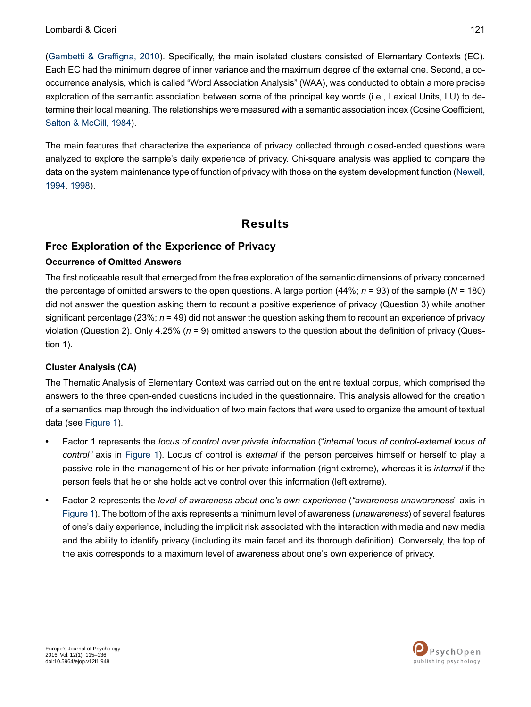(Gambetti & [Graffigna,](#page-16-12) 2010). Specifically, the main isolated clusters consisted of Elementary Contexts (EC). Each EC had the minimum degree of inner variance and the maximum degree of the external one. Second, a cooccurrence analysis, which is called "Word Association Analysis" (WAA), was conducted to obtain a more precise exploration of the semantic association between some of the principal key words (i.e., Lexical Units, LU) to determine their local meaning. The relationships were measured with a semantic association index (Cosine Coefficient, Salton & [McGill,](#page-18-16) 1984).

The main features that characterize the experience of privacy collected through closed-ended questions were analyzed to explore the sample's daily experience of privacy. Chi-square analysis was applied to compare the data on the system maintenance type of function of privacy with those on the system development function [\(Newell,](#page-17-1) [1994](#page-17-1), [1998](#page-17-3)).

# **Results**

## **Free Exploration of the Experience of Privacy**

### **Occurrence of Omitted Answers**

The first noticeable result that emerged from the free exploration of the semantic dimensions of privacy concerned the percentage of omitted answers to the open questions. A large portion (44%; *n* = 93) of the sample (*N* = 180) did not answer the question asking them to recount a positive experience of privacy (Question 3) while another significant percentage (23%; *n* = 49) did not answer the question asking them to recount an experience of privacy violation (Question 2). Only 4.25% (*n* = 9) omitted answers to the question about the definition of privacy (Question 1).

### **Cluster Analysis (CA)**

The Thematic Analysis of Elementary Context was carried out on the entire textual corpus, which comprised the answers to the three open-ended questions included in the questionnaire. This analysis allowed for the creation of a semantics map through the individuation of two main factors that were used to organize the amount of textual data (see [Figure](#page-7-0) 1).

- **•** Factor 1 represents the *locus of control over private information* ("*internal locus of control-external locus of control"* axis in [Figure](#page-7-0) 1). Locus of control is *external* if the person perceives himself or herself to play a passive role in the management of his or her private information (right extreme), whereas it is *internal* if the person feels that he or she holds active control over this information (left extreme).
- **•** Factor 2 represents the *level of awareness about one's own experience* (*"awareness-unawareness*" axis in Figure 1). The bottom of the axis represents a minimum level of awareness *(unawareness*) of several features of one's daily experience, including the implicit risk associated with the interaction with media and new media and the ability to identify privacy (including its main facet and its thorough definition). Conversely, the top of the axis corresponds to a maximum level of awareness about one's own experience of privacy.

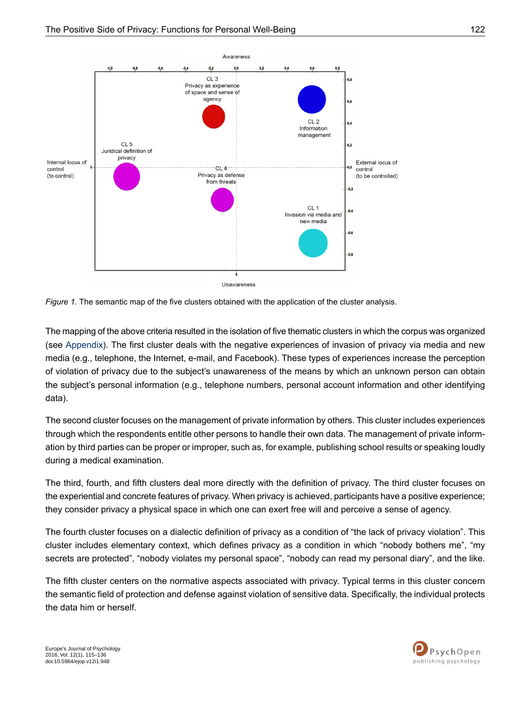<span id="page-7-0"></span>

*Figure 1.* The semantic map of the five clusters obtained with the application of the cluster analysis.

The mapping of the above criteria resulted in the isolation of five thematic clusters in which the corpus was organized (see [Appendix](#page-19-3)). The first cluster deals with the negative experiences of invasion of privacy via media and new media (e.g., telephone, the Internet, e-mail, and Facebook). These types of experiences increase the perception of violation of privacy due to the subject's unawareness of the means by which an unknown person can obtain the subject's personal information (e.g., telephone numbers, personal account information and other identifying data).

The second cluster focuses on the management of private information by others. This cluster includes experiences through which the respondents entitle other persons to handle their own data. The management of private information by third parties can be proper or improper, such as, for example, publishing school results or speaking loudly during a medical examination.

The third, fourth, and fifth clusters deal more directly with the definition of privacy. The third cluster focuses on the experiential and concrete features of privacy. When privacy is achieved, participants have a positive experience; they consider privacy a physical space in which one can exert free will and perceive a sense of agency.

The fourth cluster focuses on a dialectic definition of privacy as a condition of "the lack of privacy violation". This cluster includes elementary context, which defines privacy as a condition in which "nobody bothers me", "my secrets are protected", "nobody violates my personal space", "nobody can read my personal diary", and the like.

The fifth cluster centers on the normative aspects associated with privacy. Typical terms in this cluster concern the semantic field of protection and defense against violation of sensitive data. Specifically, the individual protects the data him or herself.

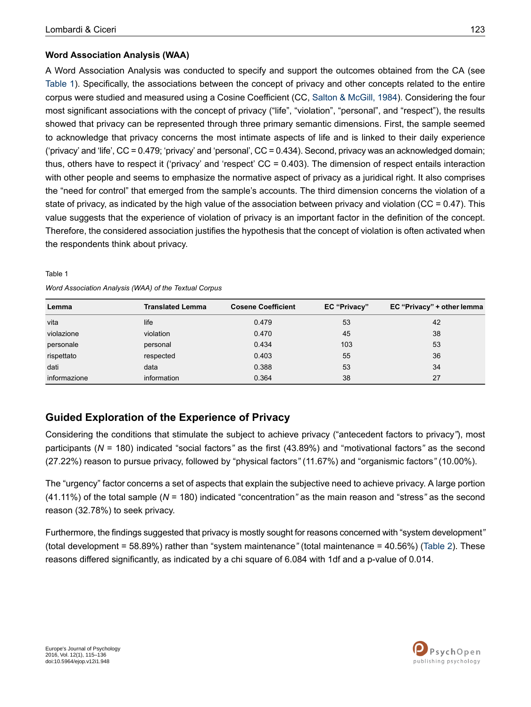### **Word Association Analysis (WAA)**

A Word Association Analysis was conducted to specify and support the outcomes obtained from the CA (see [Table](#page-8-0) 1). Specifically, the associations between the concept of privacy and other concepts related to the entire corpus were studied and measured using a Cosine Coefficient (CC, Salton & [McGill,](#page-18-16) 1984). Considering the four most significant associations with the concept of privacy ("life", "violation", "personal", and "respect"), the results showed that privacy can be represented through three primary semantic dimensions. First, the sample seemed to acknowledge that privacy concerns the most intimate aspects of life and is linked to their daily experience ('privacy'and'life', CC = 0.479; 'privacy'and'personal', CC = 0.434). Second,privacy wasanacknowledgeddomain; thus, others have to respect it ('privacy' and 'respect' CC = 0.403). The dimension of respect entails interaction with other people and seems to emphasize the normative aspect of privacy as a juridical right. It also comprises the "need for control" that emerged from the sample's accounts. The third dimension concerns the violation of a state of privacy, as indicated by the high value of the association between privacy and violation (CC = 0.47). This value suggests that the experience of violation of privacy is an important factor in the definition of the concept. Therefore, the considered association justifies the hypothesis that the concept of violation is often activated when the respondents think about privacy.

| Lemma        | <b>Translated Lemma</b> | <b>Cosene Coefficient</b> | <b>EC "Privacy"</b> | EC "Privacy" + other lemma |
|--------------|-------------------------|---------------------------|---------------------|----------------------------|
| vita         | life                    | 0.479                     | 53                  | 42                         |
| violazione   | violation               | 0.470                     | 45                  | 38                         |
| personale    | personal                | 0.434                     | 103                 | 53                         |
| rispettato   | respected               | 0.403                     | 55                  | 36                         |
| dati         | data                    | 0.388                     | 53                  | 34                         |
| informazione | information             | 0.364                     | 38                  | 27                         |

<span id="page-8-0"></span>Table 1

# **Guided Exploration of the Experience of Privacy**

Considering the conditions that stimulate the subject to achieve privacy ("antecedent factors to privacy*"*), most participants (*N* = 180) indicated "social factors*"* as the first (43.89%) and "motivational factors*"* as the second (27.22%) reason to pursue privacy, followed by "physical factors*"* (11.67%) and "organismic factors*"* (10.00%).

The "urgency" factor concerns a set of aspects that explain the subjective need to achieve privacy. A large portion (41.11%) of the total sample (*N* = 180) indicated "concentration*"* as the main reason and "stress*"* as the second reason (32.78%) to seek privacy.

Furthermore, the findings suggested that privacy is mostly sought for reasons concerned with "system development" (total development = 58.89%) rather than "system maintenance*"* (total maintenance = 40.56%) [\(Table](#page-9-0) 2). These reasons differed significantly, as indicated by a chi square of 6.084 with 1df and a p-value of 0.014.

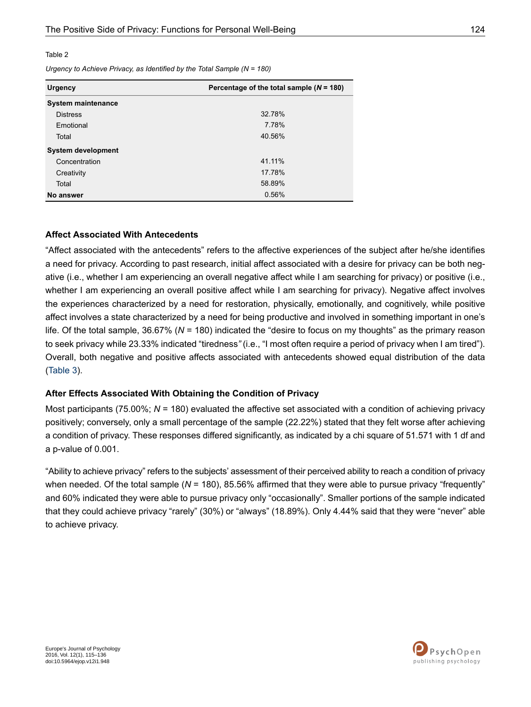#### <span id="page-9-0"></span>Table 2

*Urgency to Achieve Privacy, as Identified by the Total Sample (N = 180)*

| Percentage of the total sample $(N = 180)$<br><b>Urgency</b> |        |
|--------------------------------------------------------------|--------|
| <b>System maintenance</b>                                    |        |
| <b>Distress</b>                                              | 32.78% |
| Emotional                                                    | 7.78%  |
| Total                                                        | 40.56% |
| <b>System development</b>                                    |        |
| Concentration                                                | 41.11% |
| Creativity                                                   | 17.78% |
| Total                                                        | 58.89% |
| No answer                                                    | 0.56%  |

#### **Affect Associated With Antecedents**

"Affect associated with the antecedents" refers to the affective experiences of the subject after he/she identifies a need for privacy. According to past research, initial affect associated with a desire for privacy can be both negative (i.e., whether I am experiencing an overall negative affect while I am searching for privacy) or positive (i.e., whether I am experiencing an overall positive affect while I am searching for privacy). Negative affect involves the experiences characterized by a need for restoration, physically, emotionally, and cognitively, while positive affect involves a state characterized by a need for being productive and involved in something important in one's life. Of the total sample, 36.67% (*N* = 180) indicated the "desire to focus on my thoughts" as the primary reason to seek privacy while 23.33% indicated "tiredness*"* (i.e., "I most often require a period of privacy when I am tired"). Overall, both negative and positive affects associated with antecedents showed equal distribution of the data [\(Table](#page-10-0) 3).

#### **After Effects Associated With Obtaining the Condition of Privacy**

Most participants (75.00%; *N* = 180) evaluated the affective set associated with a condition of achieving privacy positively; conversely, only a small percentage of the sample (22.22%) stated that they felt worse after achieving a condition of privacy. These responses differed significantly, as indicated by a chi square of 51.571 with 1 df and a p-value of 0.001.

"Ability to achieve privacy" refers to the subjects' assessment of their perceived ability to reach a condition of privacy when needed. Of the total sample ( $N = 180$ ), 85.56% affirmed that they were able to pursue privacy "frequently" and 60% indicated they were able to pursue privacy only "occasionally". Smaller portions of the sample indicated that they could achieve privacy "rarely" (30%) or "always" (18.89%). Only 4.44% said that they were "never" able to achieve privacy.

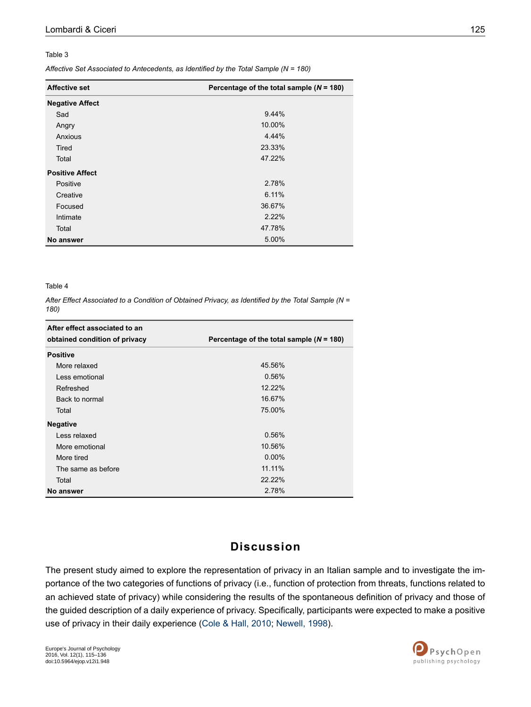#### <span id="page-10-0"></span>Table 3

*Affective Set Associated to Antecedents, as Identified by the Total Sample (N = 180)*

| <b>Affective set</b>   | Percentage of the total sample $(N = 180)$ |  |  |  |
|------------------------|--------------------------------------------|--|--|--|
| <b>Negative Affect</b> |                                            |  |  |  |
| Sad                    | 9.44%                                      |  |  |  |
| Angry                  | 10.00%                                     |  |  |  |
| Anxious                | 4.44%                                      |  |  |  |
| Tired                  | 23.33%                                     |  |  |  |
| Total                  | 47.22%                                     |  |  |  |
| <b>Positive Affect</b> |                                            |  |  |  |
| Positive               | 2.78%                                      |  |  |  |
| Creative               | 6.11%                                      |  |  |  |
| Focused                | 36.67%                                     |  |  |  |
| Intimate               | 2.22%                                      |  |  |  |
| Total                  | 47.78%                                     |  |  |  |
| No answer              | 5.00%                                      |  |  |  |

#### <span id="page-10-1"></span>Table 4

*After Effect Associated to a Condition of Obtained Privacy, as Identified by the Total Sample (N = 180)*

| After effect associated to an<br>obtained condition of privacy | Percentage of the total sample $(N = 180)$ |
|----------------------------------------------------------------|--------------------------------------------|
| <b>Positive</b>                                                |                                            |
| More relaxed                                                   | 45.56%                                     |
| Less emotional                                                 | 0.56%                                      |
| Refreshed                                                      | 12.22%                                     |
| Back to normal                                                 | 16.67%                                     |
| Total                                                          | 75.00%                                     |
| <b>Negative</b>                                                |                                            |
| Less relaxed                                                   | 0.56%                                      |
| More emotional                                                 | 10.56%                                     |
| More tired                                                     | $0.00\%$                                   |
| The same as before                                             | 11.11%                                     |
| Total                                                          | 22.22%                                     |
| No answer                                                      | 2.78%                                      |

# **Discussion**

The present study aimed to explore the representation of privacy in an Italian sample and to investigate the importance of the two categories of functions of privacy (i.e., function of protection from threats, functions related to an achieved state of privacy) while considering the results of the spontaneous definition of privacy and those of the guided description of a daily experience of privacy. Specifically, participants were expected to make a positive use of privacy in their daily experience (Cole & Hall, [2010](#page-15-1); [Newell,](#page-17-3) 1998).

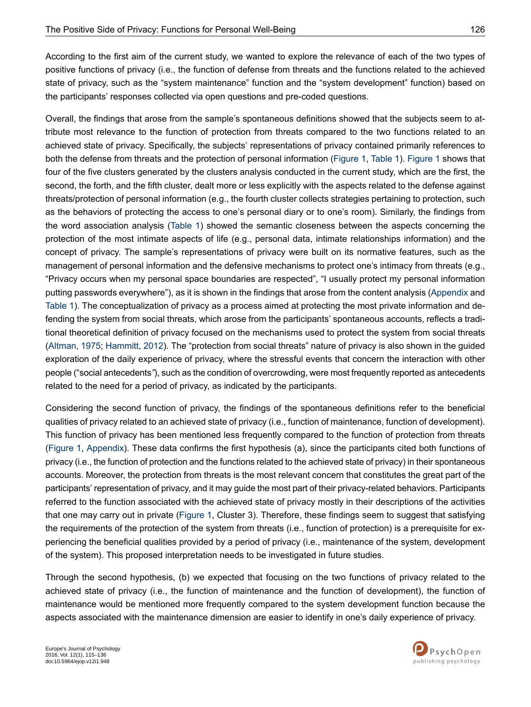According to the first aim of the current study, we wanted to explore the relevance of each of the two types of positive functions of privacy (i.e., the function of defense from threats and the functions related to the achieved state of privacy, such as the "system maintenance" function and the "system development" function) based on the participants' responses collected via open questions and pre-coded questions.

Overall, the findings that arose from the sample's spontaneous definitions showed that the subjects seem to attribute most relevance to the function of protection from threats compared to the two functions related to an achieved state of privacy. Specifically, the subjects' representations of privacy contained primarily references to both the defense from threats and the protection of personal information [\(Figure](#page-7-0) 1, [Table](#page-8-0) 1). [Figure](#page-7-0) 1 shows that four of the five clusters generated by the clusters analysis conducted in the current study, which are the first, the second, the forth, and the fifth cluster, dealt more or less explicitly with the aspects related to the defense against threats/protection of personal information (e.g., the fourth cluster collects strategies pertaining to protection, such as the behaviors of protecting the access to one's personal diary or to one's room). Similarly, the findings from the word association analysis [\(Table](#page-8-0) 1) showed the semantic closeness between the aspects concerning the protection of the most intimate aspects of life (e.g., personal data, intimate relationships information) and the concept of privacy. The sample's representations of privacy were built on its normative features, such as the management of personal information and the defensive mechanisms to protect one's intimacy from threats (e.g., "Privacy occurs when my personal space boundaries are respected", "I usually protect my personal information putting passwords everywhere"), as it is shown in the findings that arose from the content analysis ([Appendix](#page-19-3) and [Table](#page-8-0) 1). The conceptualization of privacy as a process aimed at protecting the most private information and defending the system from social threats, which arose from the participants' spontaneous accounts, reflects a traditional theoretical definition of privacy focused on the mechanisms used to protect the system from social threats [\(Altman,](#page-15-0) 1975; [Hammitt,](#page-16-2) 2012). The "protection from social threats" nature of privacy is also shown in the guided exploration of the daily experience of privacy, where the stressful events that concern the interaction with other people ("social antecedents"), such as the condition of overcrowding, were most frequently reported as antecedents related to the need for a period of privacy, as indicated by the participants.

Considering the second function of privacy, the findings of the spontaneous definitions refer to the beneficial qualities of privacy related to an achieved state of privacy (i.e., function of maintenance, function of development). This function of privacy has been mentioned less frequently compared to the function of protection from threats [\(Figure](#page-7-0) 1, [Appendix](#page-19-3)). These data confirms the first hypothesis (a), since the participants cited both functions of privacy (i.e., the function of protection and the functions related to the achieved state of privacy) in their spontaneous accounts. Moreover, the protection from threats is the most relevant concern that constitutes the great part of the participants' representation of privacy, and it may guide the most part of their privacy-related behaviors. Participants referred to the function associated with the achieved state of privacy mostly in their descriptions of the activities that one may carry out in private ([Figure](#page-7-0) 1, Cluster 3). Therefore, these findings seem to suggest that satisfying the requirements of the protection of the system from threats (i.e., function of protection) is a prerequisite for experiencing the beneficial qualities provided by a period of privacy (i.e., maintenance of the system, development of the system). This proposed interpretation needs to be investigated in future studies.

Through the second hypothesis, (b) we expected that focusing on the two functions of privacy related to the achieved state of privacy (i.e., the function of maintenance and the function of development), the function of maintenance would be mentioned more frequently compared to the system development function because the aspects associated with the maintenance dimension are easier to identify in one's daily experience of privacy.

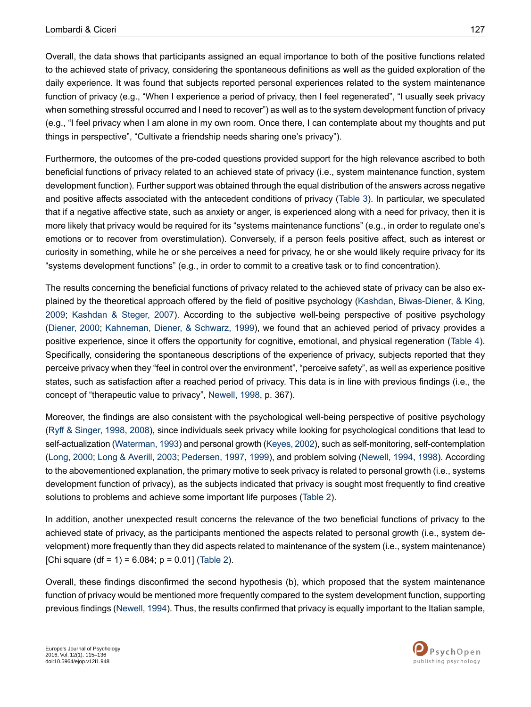Overall, the data shows that participants assigned an equal importance to both of the positive functions related to the achieved state of privacy, considering the spontaneous definitions as well as the guided exploration of the daily experience. It was found that subjects reported personal experiences related to the system maintenance function of privacy (e.g., "When I experience a period of privacy, then I feel regenerated", "I usually seek privacy when something stressful occurred and I need to recover") as well as to the system development function of privacy (e.g., "I feel privacy when I am alone in my own room. Once there, I can contemplate about my thoughts and put things in perspective", "Cultivate a friendship needs sharing one's privacy").

Furthermore, the outcomes of the pre-coded questions provided support for the high relevance ascribed to both beneficial functions of privacy related to an achieved state of privacy (i.e., system maintenance function, system development function). Further support was obtained through the equal distribution of the answers across negative and positive affects associated with the antecedent conditions of privacy ([Table](#page-10-0) 3). In particular, we speculated that if a negative affective state, such as anxiety or anger, is experienced along with a need for privacy, then it is more likely that privacy would be required for its "systems maintenance functions" (e.g., in order to regulate one's emotions or to recover from overstimulation). Conversely, if a person feels positive affect, such as interest or curiosity in something, while he or she perceives a need for privacy, he or she would likely require privacy for its "systems development functions" (e.g., in order to commit to a creative task or to find concentration).

The results concerning the beneficial functions of privacy related to the achieved state of privacy can be also explained by the theoretical approach offered by the field of positive psychology (Kashdan, [Biwas-Diener,](#page-16-13) & King, [2009](#page-16-13); [Kashdan](#page-16-14) & Steger, 2007). According to the subjective well-being perspective of positive psychology [\(Diener,](#page-15-6) 2000; [Kahneman,](#page-16-4) Diener, & Schwarz, 1999), we found that an achieved period of privacy provides a positive experience, since it offers the opportunity for cognitive, emotional, and physical regeneration ([Table](#page-10-1) 4). Specifically, considering the spontaneous descriptions of the experience of privacy, subjects reported that they perceive privacy when they "feel in control over the environment", "perceive safety", as well as experience positive states, such as satisfaction after a reached period of privacy. This data is in line with previous findings (i.e., the concept of "therapeutic value to privacy", [Newell,](#page-17-3) 1998, p. 367).

Moreover, the findings are also consistent with the psychological well-being perspective of positive psychology (Ryff & [Singer,](#page-18-5) 1998, [2008\)](#page-18-6), since individuals seek privacy while looking for psychological conditions that lead to self-actualization (Waterman, 1993) and personal growth (Keyes, 2002), such as self-monitoring, self-contemplation [\(Long,](#page-17-9) 2000; Long & [Averill,](#page-17-10) 2003; [Pedersen,](#page-17-0) 1997, [1999\)](#page-18-0), and problem solving ([Newell,](#page-17-1) 1994, [1998](#page-17-3)). According to the abovementioned explanation, the primary motive to seek privacy is related to personal growth (i.e., systems development function of privacy), as the subjects indicated that privacy is sought most frequently to find creative solutions to problems and achieve some important life purposes [\(Table](#page-9-0) 2).

In addition, another unexpected result concerns the relevance of the two beneficial functions of privacy to the achieved state of privacy, as the participants mentioned the aspects related to personal growth (i.e., system development) more frequently than they did aspects related to maintenance of the system (i.e., system maintenance) [Chi square (df = 1) =  $6.084$ ; p =  $0.01$ ] ([Table](#page-9-0) 2).

Overall, these findings disconfirmed the second hypothesis (b), which proposed that the system maintenance function of privacy would be mentioned more frequently compared to the system development function, supporting previous findings [\(Newell,](#page-17-1) 1994). Thus, the results confirmed that privacy is equally important to the Italian sample,

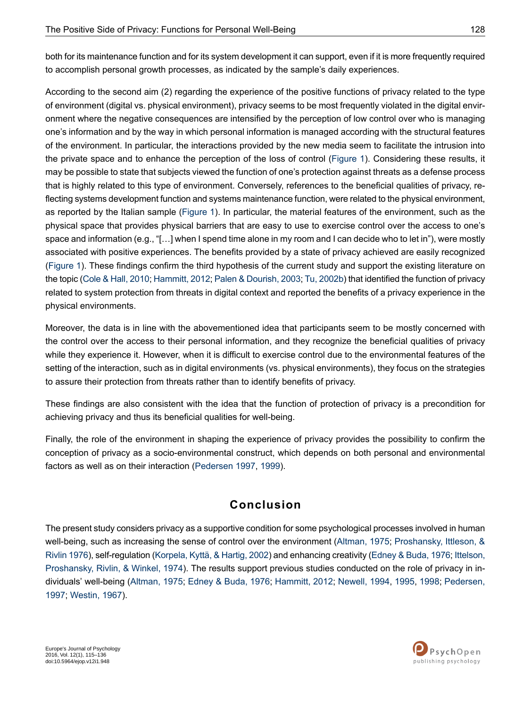both for its maintenance function and for its system development it can support, even if it is more frequently required to accomplish personal growth processes, as indicated by the sample's daily experiences.

According to the second aim (2) regarding the experience of the positive functions of privacy related to the type of environment (digital vs. physical environment), privacy seems to be most frequently violated in the digital environment where the negative consequences are intensified by the perception of low control over who is managing one's information and by the way in which personal information is managed according with the structural features of the environment. In particular, the interactions provided by the new media seem to facilitate the intrusion into the private space and to enhance the perception of the loss of control [\(Figure](#page-7-0) 1). Considering these results, it may be possible to state that subjects viewed the function of one's protection against threats as a defense process that is highly related to this type of environment. Conversely, references to the beneficial qualities of privacy, reflecting systems development function and systems maintenance function, were related to the physical environment, as reported by the Italian sample [\(Figure](#page-7-0) 1). In particular, the material features of the environment, such as the physical space that provides physical barriers that are easy to use to exercise control over the access to one's space and information (e.g., "[…] when I spend time alone in my room and I can decide who to let in"), were mostly associated with positive experiences. The benefits provided by a state of privacy achieved are easily recognized [\(Figure](#page-7-0) 1). These findings confirm the third hypothesis of the current study and support the existing literature on the topic (Cole & Hall, 2010; Hammitt, 2012; Palen & Dourish, 2003; Tu, 2002b) that identified the function of privacy related to system protection from threats in digital context and reported the benefits of a privacy experience in the physical environments.

Moreover, the data is in line with the abovementioned idea that participants seem to be mostly concerned with the control over the access to their personal information, and they recognize the beneficial qualities of privacy while they experience it. However, when it is difficult to exercise control due to the environmental features of the setting of the interaction, such as in digital environments (vs. physical environments), they focus on the strategies to assure their protection from threats rather than to identify benefits of privacy.

These findings are also consistent with the idea that the function of protection of privacy is a precondition for achieving privacy and thus its beneficial qualities for well-being.

Finally, the role of the environment in shaping the experience of privacy provides the possibility to confirm the conception of privacy as a socio-environmental construct, which depends on both personal and environmental factors as well as on their interaction ([Pedersen](#page-17-0) 1997, [1999](#page-18-0)).

# **Conclusion**

The present study considers privacy as a supportive condition for some psychological processes involved in human well-being, such as increasing the sense of control over the environment [\(Altman,](#page-15-0) 1975; [Proshansky,](#page-18-11) Ittleson, & Rivlin 1976), self-regulation (Korpela, Kyttä, & Hartig, 2002) and enhancing creativity (Edney & Buda, 1976; [Ittelson,](#page-16-5) [Proshansky,](#page-16-5) Rivlin, & Winkel, 1974). The results support previous studies conducted on the role of privacy in individuals' well-being [\(Altman,](#page-15-0) 1975; [Edney](#page-15-7) & Buda, 1976; [Hammitt,](#page-16-2) 2012; [Newell,](#page-17-1) 1994, [1995](#page-17-2), [1998](#page-17-3); [Pedersen,](#page-17-0) [1997](#page-17-0); [Westin,](#page-19-0) 1967).

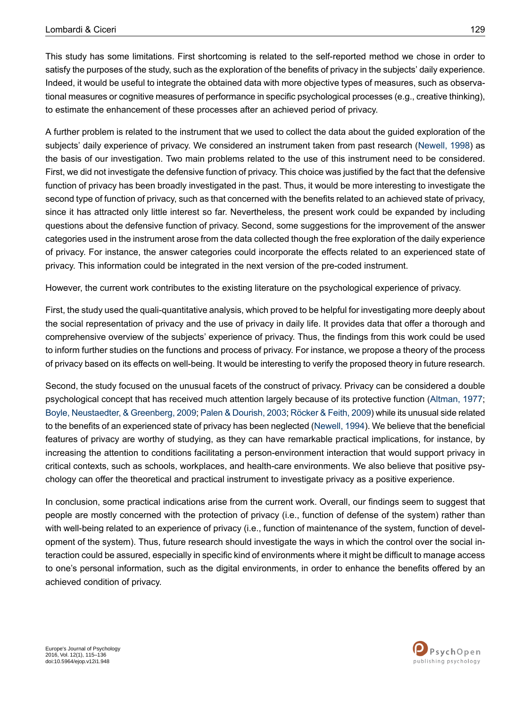This study has some limitations. First shortcoming is related to the self-reported method we chose in order to satisfy the purposes of the study, such as the exploration of the benefits of privacy in the subjects' daily experience. Indeed, it would be useful to integrate the obtained data with more objective types of measures, such as observational measures or cognitive measures of performance in specific psychological processes (e.g., creative thinking), to estimate the enhancement of these processes after an achieved period of privacy.

A further problem is related to the instrument that we used to collect the data about the guided exploration of the subjects' daily experience of privacy. We considered an instrument taken from past research [\(Newell,](#page-17-3) 1998) as the basis of our investigation. Two main problems related to the use of this instrument need to be considered. First, we did not investigate the defensive function of privacy. This choice was justified by the fact that the defensive function of privacy has been broadly investigated in the past. Thus, it would be more interesting to investigate the second type of function of privacy, such as that concerned with the benefits related to an achieved state of privacy, since it has attracted only little interest so far. Nevertheless, the present work could be expanded by including questions about the defensive function of privacy. Second, some suggestions for the improvement of the answer categories used in the instrument arose from the data collected though the free exploration of the daily experience of privacy. For instance, the answer categories could incorporate the effects related to an experienced state of privacy. This information could be integrated in the next version of the pre-coded instrument.

However, the current work contributes to the existing literature on the psychological experience of privacy.

First, the study used the quali-quantitative analysis, which proved to be helpful for investigating more deeply about the social representation of privacy and the use of privacy in daily life. It provides data that offer a thorough and comprehensive overview of the subjects' experience of privacy. Thus, the findings from this work could be used to inform further studies on the functions and process of privacy. For instance, we propose a theory of the process of privacy based on its effects on well-being. It would be interesting to verify the proposed theory in future research.

Second, the study focused on the unusual facets of the construct of privacy. Privacy can be considered a double psychological concept that has received much attention largely because of its protective function ([Altman,](#page-15-4) 1977; Boyle, Neustaedter, & Greenberg, 2009; Palen & Dourish, 2003; Röcker & Feith, 2009) while its unusual side related to the benefits of an experienced state of privacy has been neglected [\(Newell,](#page-17-1) 1994). We believe that the beneficial features of privacy are worthy of studying, as they can have remarkable practical implications, for instance, by increasing the attention to conditions facilitating a person-environment interaction that would support privacy in critical contexts, such as schools, workplaces, and health-care environments. We also believe that positive psychology can offer the theoretical and practical instrument to investigate privacy as a positive experience.

In conclusion, some practical indications arise from the current work. Overall, our findings seem to suggest that people are mostly concerned with the protection of privacy (i.e., function of defense of the system) rather than with well-being related to an experience of privacy (i.e., function of maintenance of the system, function of development of the system). Thus, future research should investigate the ways in which the control over the social interaction could be assured, especially in specific kind of environments where it might be difficult to manage access to one's personal information, such as the digital environments, in order to enhance the benefits offered by an achieved condition of privacy.

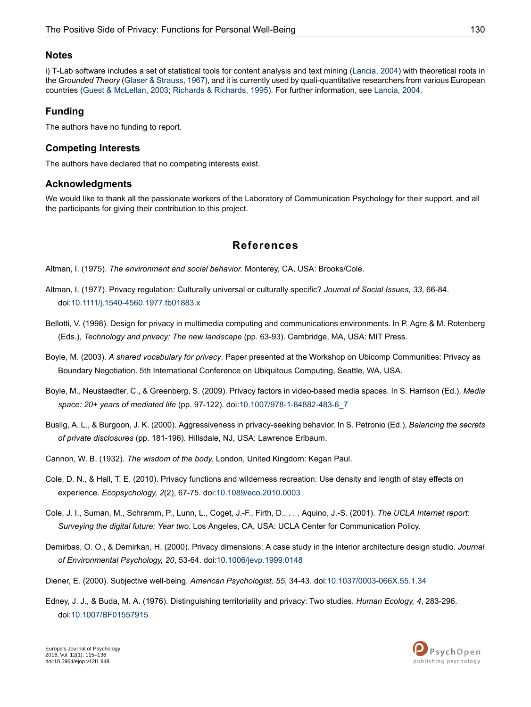### **Notes**

<span id="page-15-12"></span>i) T-Lab software includes a set of statistical tools for content analysis and text mining [\(Lancia,](#page-17-16) 2004) with theoretical roots in the *Grounded Theory* (Glaser & [Strauss,](#page-16-15) 1967), and it is currently used by quali-quantitative researchers from various European countries (Guest & [McLellan,](#page-16-11) 2003; Richards & [Richards,](#page-18-15) 1995). For further information, see [Lancia,](#page-17-16) 2004.

### **Funding**

The authors have no funding to report.

### **Competing Interests**

The authors have declared that no competing interests exist.

### **Acknowledgments**

We would like to thank all the passionate workers of the Laboratory of Communication Psychology for their support, and all the participants for giving their contribution to this project.

## **References**

<span id="page-15-4"></span><span id="page-15-0"></span>Altman, I. (1975). *The environment and social behavior.* Monterey, CA, USA: Brooks/Cole.

- <span id="page-15-8"></span>Altman, I. (1977). Privacy regulation: Culturally universal or culturally specific? *Journal of Social Issues, 33*, 66-84. doi:[10.1111/j.1540-4560.1977.tb01883.x](http://dx.doi.org/10.1111%2Fj.1540-4560.1977.tb01883.x)
- <span id="page-15-9"></span>Bellotti, V. (1998). Design for privacy in multimedia computing and communications environments. In P. Agre & M. Rotenberg (Eds.), *Technology and privacy: The new landscape* (pp. 63-93). Cambridge, MA, USA: MIT Press.
- <span id="page-15-10"></span>Boyle, M. (2003). *A shared vocabulary for privacy*. Paper presented at the Workshop on Ubicomp Communities: Privacy as Boundary Negotiation. 5th International Conference on Ubiquitous Computing, Seattle, WA, USA.
- <span id="page-15-3"></span>Boyle, M., Neustaedter, C., & Greenberg, S. (2009). Privacy factors in video-based media spaces. In S. Harrison (Ed.), *Media space: 20+ years of mediated life* (pp. 97-122). doi[:10.1007/978-1-84882-483-6\\_7](http://dx.doi.org/10.1007%2F978-1-84882-483-6_7)
- <span id="page-15-5"></span><span id="page-15-1"></span>Buslig, A. L., & Burgoon, J. K. (2000). Aggressiveness in privacy-seeking behavior. In S. Petronio (Ed.), *Balancing the secrets of private disclosures* (pp. 181-196). Hillsdale, NJ, USA: Lawrence Erlbaum.
- <span id="page-15-11"></span>Cannon, W. B. (1932). *The wisdom of the body.* London, United Kingdom: Kegan Paul.
- <span id="page-15-2"></span>Cole, D. N., & Hall, T. E. (2010). Privacy functions and wilderness recreation: Use density and length of stay effects on experience. *Ecopsychology, 2*(2), 67-75. doi:[10.1089/eco.2010.0003](http://dx.doi.org/10.1089%2Feco.2010.0003)
- <span id="page-15-6"></span>Cole, J. I., Suman, M., Schramm, P., Lunn, L., Coget, J.-F., Firth, D., . . . Aquino, J.-S. (2001). *The UCLA Internet report: Surveying the digital future: Year two*. Los Angeles, CA, USA: UCLA Center for Communication Policy.
- <span id="page-15-7"></span>Demirbas, O. O., & Demirkan, H. (2000). Privacy dimensions: A case study in the interior architecture design studio. *Journal of Environmental Psychology, 20*, 53-64. doi:[10.1006/jevp.1999.0148](http://dx.doi.org/10.1006%2Fjevp.1999.0148)
- Diener, E. (2000). Subjective well-being. *American Psychologist, 55*, 34-43. doi:[10.1037/0003-066X.55.1.34](http://dx.doi.org/10.1037%2F0003-066X.55.1.34)
- Edney, J. J., & Buda, M. A. (1976). Distinguishing territoriality and privacy: Two studies. *Human Ecology, 4*, 283-296. doi:[10.1007/BF01557915](http://dx.doi.org/10.1007%2FBF01557915)

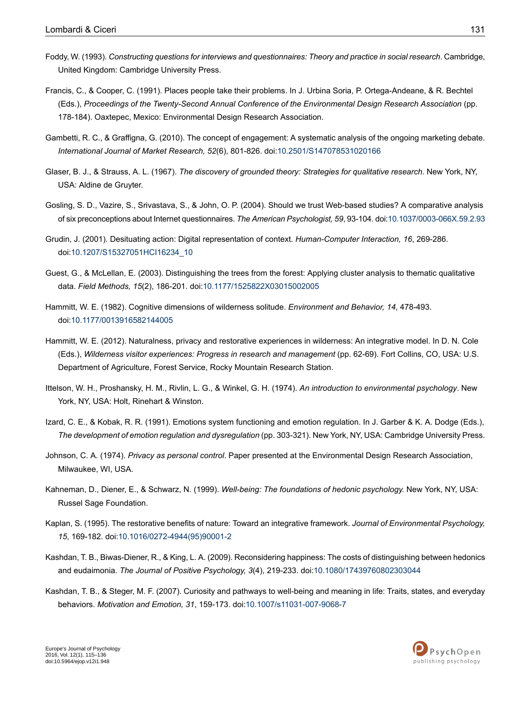- <span id="page-16-10"></span>Foddy, W. (1993). *Constructing questions for interviews and questionnaires: Theory and practice in social research*. Cambridge, United Kingdom: Cambridge University Press.
- <span id="page-16-1"></span>Francis, C., & Cooper, C. (1991). Places people take their problems. In J. Urbina Soria, P. Ortega-Andeane, & R. Bechtel (Eds.), *Proceedings of the Twenty-Second Annual Conference of the Environmental Design Research Association* (pp. 178-184). Oaxtepec, Mexico: Environmental Design Research Association.
- <span id="page-16-15"></span><span id="page-16-12"></span>Gambetti, R. C., & Graffigna, G. (2010). The concept of engagement: A systematic analysis of the ongoing marketing debate. *International Journal of Market Research, 52*(6), 801-826. doi[:10.2501/S147078531020166](http://dx.doi.org/10.2501%2FS147078531020166)
- <span id="page-16-9"></span>Glaser, B. J., & Strauss, A. L. (1967). *The discovery of grounded theory: Strategies for qualitative research.* New York, NY, USA: Aldine de Gruyter.
- <span id="page-16-6"></span>Gosling, S. D., Vazire, S., Srivastava, S., & John, O. P. (2004). Should we trust Web-based studies? A comparative analysis of six preconceptions about Internet questionnaires. *The American Psychologist, 59*, 93-104. doi[:10.1037/0003-066X.59.2.93](http://dx.doi.org/10.1037%2F0003-066X.59.2.93)
- <span id="page-16-11"></span>Grudin, J. (2001). Desituating action: Digital representation of context. *Human-Computer Interaction, 16*, 269-286. doi:[10.1207/S15327051HCI16234\\_10](http://dx.doi.org/10.1207%2FS15327051HCI16234_10)
- <span id="page-16-7"></span>Guest, G., & McLellan, E. (2003). Distinguishing the trees from the forest: Applying cluster analysis to thematic qualitative data. *Field Methods, 15*(2), 186-201. doi:[10.1177/1525822X03015002005](http://dx.doi.org/10.1177%2F1525822X03015002005)
- <span id="page-16-2"></span>Hammitt, W. E. (1982). Cognitive dimensions of wilderness solitude. *Environment and Behavior, 14*, 478-493. doi:[10.1177/0013916582144005](http://dx.doi.org/10.1177%2F0013916582144005)
- <span id="page-16-5"></span>Hammitt, W. E. (2012). Naturalness, privacy and restorative experiences in wilderness: An integrative model. In D. N. Cole (Eds.), *Wilderness visitor experiences: Progress in research and management* (pp. 62-69). Fort Collins, CO, USA: U.S. Department of Agriculture, Forest Service, Rocky Mountain Research Station.
- <span id="page-16-3"></span>Ittelson, W. H., Proshansky, H. M., Rivlin, L. G., & Winkel, G. H. (1974). *An introduction to environmental psychology*. New York, NY, USA: Holt, Rinehart & Winston.
- <span id="page-16-0"></span>Izard, C. E., & Kobak, R. R. (1991). Emotions system functioning and emotion regulation. In J. Garber & K. A. Dodge (Eds.), *The development of emotion regulation and dysregulation* (pp. 303-321). New York, NY, USA: Cambridge University Press.
- <span id="page-16-8"></span><span id="page-16-4"></span>Johnson, C. A. (1974). *Privacy as personal control*. Paper presented at the Environmental Design Research Association, Milwaukee, WI, USA.
- <span id="page-16-13"></span>Kahneman, D., Diener, E., & Schwarz, N. (1999). *Well-being: The foundations of hedonic psychology.* New York, NY, USA: Russel Sage Foundation.
- <span id="page-16-14"></span>Kaplan, S. (1995). The restorative benefits of nature: Toward an integrative framework. *Journal of Environmental Psychology, 15*, 169-182. doi:[10.1016/0272-4944\(95\)90001-2](http://dx.doi.org/10.1016%2F0272-4944%2895%2990001-2)
- Kashdan, T. B., Biwas-Diener, R., & King, L. A. (2009). Reconsidering happiness: The costs of distinguishing between hedonics and eudaimonia. *The Journal of Positive Psychology, 3*(4), 219-233. doi:[10.1080/17439760802303044](http://dx.doi.org/10.1080%2F17439760802303044)
- Kashdan, T. B., & Steger, M. F. (2007). Curiosity and pathways to well-being and meaning in life: Traits, states, and everyday behaviors. *Motivation and Emotion, 31*, 159-173. doi:[10.1007/s11031-007-9068-7](http://dx.doi.org/10.1007%2Fs11031-007-9068-7)

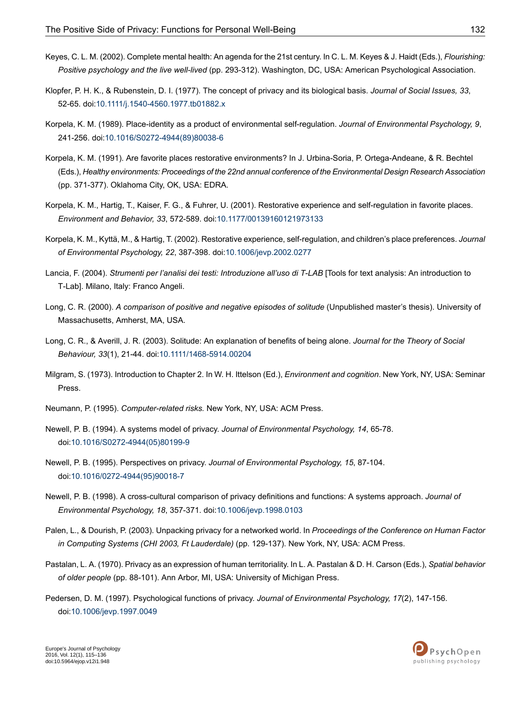- <span id="page-17-11"></span>Keyes, C. L. M. (2002). Complete mental health: An agenda for the 21st century. In C. L. M. Keyes & J. Haidt (Eds.), *Flourishing: Positive psychology and the live well-lived* (pp. 293-312). Washington, DC, USA: American Psychological Association.
- <span id="page-17-7"></span>Klopfer, P. H. K., & Rubenstein, D. I. (1977). The concept of privacy and its biological basis. *Journal of Social Issues, 33*, 52-65. doi:[10.1111/j.1540-4560.1977.tb01882.x](http://dx.doi.org/10.1111%2Fj.1540-4560.1977.tb01882.x)
- <span id="page-17-15"></span><span id="page-17-14"></span>Korpela, K. M. (1989). Place-identity as a product of environmental self-regulation. *Journal of Environmental Psychology, 9*, 241-256. doi:[10.1016/S0272-4944\(89\)80038-6](http://dx.doi.org/10.1016%2FS0272-4944%2889%2980038-6)
- Korpela, K. M. (1991). Are favorite places restorative environments? In J. Urbina-Soria, P. Ortega-Andeane, & R. Bechtel (Eds.), *Healthy environments: Proceedings of the 22nd annual conference of the Environmental Design Research Association* (pp. 371-377). Oklahoma City, OK, USA: EDRA.
- <span id="page-17-13"></span><span id="page-17-4"></span>Korpela, K. M., Hartig, T., Kaiser, F. G., & Fuhrer, U. (2001). Restorative experience and self-regulation in favorite places. *Environment and Behavior, 33*, 572-589. doi[:10.1177/00139160121973133](http://dx.doi.org/10.1177%2F00139160121973133)
- <span id="page-17-16"></span>Korpela, K. M., Kyttä, M., & Hartig, T. (2002). Restorative experience, self-regulation, and children's place preferences. *Journal of Environmental Psychology, 22*, 387-398. doi[:10.1006/jevp.2002.0277](http://dx.doi.org/10.1006%2Fjevp.2002.0277)
- <span id="page-17-9"></span>Lancia, F. (2004). *Strumenti per l'analisi dei testi: Introduzione all'uso di T-LAB* [Tools for text analysis: An introduction to T-Lab]. Milano, Italy: Franco Angeli.
- <span id="page-17-10"></span>Long, C. R. (2000). *A comparison of positive and negative episodes of solitude* (Unpublished master's thesis). University of Massachusetts, Amherst, MA, USA.
- <span id="page-17-6"></span>Long, C. R., & Averill, J. R. (2003). Solitude: An explanation of benefits of being alone. *Journal for the Theory of Social Behaviour, 33*(1), 21-44. doi:[10.1111/1468-5914.00204](http://dx.doi.org/10.1111%2F1468-5914.00204)
- <span id="page-17-12"></span><span id="page-17-1"></span>Milgram, S. (1973). Introduction to Chapter 2. In W. H. Ittelson (Ed.), *Environment and cognition*. New York, NY, USA: Seminar Press.
- <span id="page-17-2"></span>Neumann, P. (1995). *Computer-related risks.* New York, NY, USA: ACM Press.
- <span id="page-17-3"></span>Newell, P. B. (1994). A systems model of privacy. *Journal of Environmental Psychology, 14*, 65-78. doi:[10.1016/S0272-4944\(05\)80199-9](http://dx.doi.org/10.1016%2FS0272-4944%2805%2980199-9)
- <span id="page-17-5"></span>Newell, P. B. (1995). Perspectives on privacy. *Journal of Environmental Psychology, 15*, 87-104. doi:[10.1016/0272-4944\(95\)90018-7](http://dx.doi.org/10.1016%2F0272-4944%2895%2990018-7)
- <span id="page-17-8"></span>Newell, P. B. (1998). A cross-cultural comparison of privacy definitions and functions: A systems approach. *Journal of Environmental Psychology, 18*, 357-371. doi[:10.1006/jevp.1998.0103](http://dx.doi.org/10.1006%2Fjevp.1998.0103)
- <span id="page-17-0"></span>Palen, L., & Dourish, P. (2003). Unpacking privacy for a networked world. In *Proceedings of the Conference on Human Factor in Computing Systems (CHI 2003, Ft Lauderdale)* (pp. 129-137). New York, NY, USA: ACM Press.
- Pastalan, L. A. (1970). Privacy as an expression of human territoriality. In L. A. Pastalan & D. H. Carson (Eds.), *Spatial behavior of older people* (pp. 88-101). Ann Arbor, MI, USA: University of Michigan Press.
- Pedersen, D. M. (1997). Psychological functions of privacy. *Journal of Environmental Psychology, 17*(2), 147-156. doi:[10.1006/jevp.1997.0049](http://dx.doi.org/10.1006%2Fjevp.1997.0049)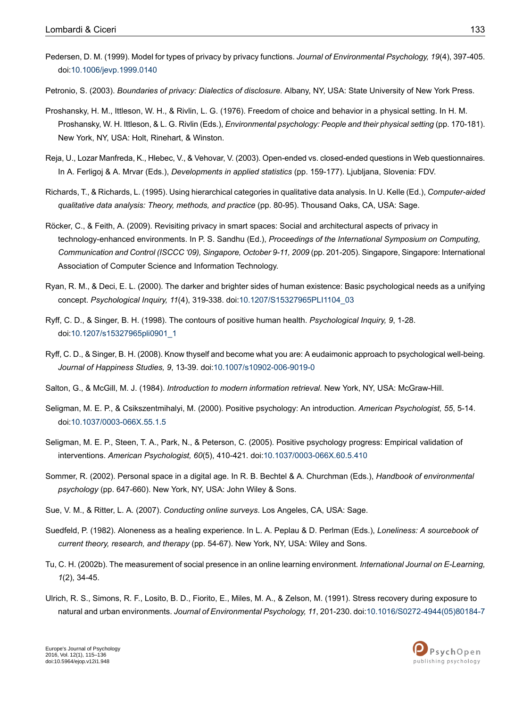- <span id="page-18-0"></span>Pedersen, D. M. (1999). Model for types of privacy by privacy functions. *Journal of Environmental Psychology, 19*(4), 397-405. doi:[10.1006/jevp.1999.0140](http://dx.doi.org/10.1006%2Fjevp.1999.0140)
- <span id="page-18-11"></span><span id="page-18-1"></span>Petronio, S. (2003). *Boundaries of privacy: Dialectics of disclosure.* Albany, NY, USA: State University of New York Press.
- Proshansky, H. M., Ittleson, W. H., & Rivlin, L. G. (1976). Freedom of choice and behavior in a physical setting. In H. M. Proshansky, W. H. Ittleson, & L. G. Rivlin (Eds.), *Environmental psychology: People and their physical setting* (pp. 170-181). New York, NY, USA: Holt, Rinehart, & Winston.
- <span id="page-18-15"></span><span id="page-18-14"></span>Reja, U., Lozar Manfreda, K., Hlebec, V., & Vehovar, V. (2003). Open-ended vs. closed-ended questions in Web questionnaires. In A. Ferligoj & A. Mrvar (Eds.), *Developments in applied statistics* (pp. 159-177). Ljubljana, Slovenia: FDV.
- <span id="page-18-10"></span>Richards, T., & Richards, L. (1995). Using hierarchical categories in qualitative data analysis. In U. Kelle (Ed.), *Computer-aided qualitative data analysis: Theory, methods, and practice* (pp. 80-95). Thousand Oaks, CA, USA: Sage.
- <span id="page-18-7"></span>Röcker, C., & Feith, A. (2009). Revisiting privacy in smart spaces: Social and architectural aspects of privacy in technology-enhanced environments. In P. S. Sandhu (Ed.), *Proceedings of the International Symposium on Computing, Communication and Control (ISCCC '09), Singapore, October 9-11, 2009* (pp. 201-205). Singapore, Singapore: International Association of Computer Science and Information Technology.
- <span id="page-18-5"></span>Ryan, R. M., & Deci, E. L. (2000). The darker and brighter sides of human existence: Basic psychological needs as a unifying concept. *Psychological Inquiry, 11*(4), 319-338. doi[:10.1207/S15327965PLI1104\\_03](http://dx.doi.org/10.1207%2FS15327965PLI1104_03)
- <span id="page-18-6"></span>Ryff, C. D., & Singer, B. H. (1998). The contours of positive human health. *Psychological Inquiry, 9*, 1-28. doi:[10.1207/s15327965pli0901\\_1](http://dx.doi.org/10.1207%2Fs15327965pli0901_1)
- <span id="page-18-16"></span><span id="page-18-4"></span>Ryff, C. D., & Singer, B. H. (2008). Know thyself and become what you are: A eudaimonic approach to psychological well-being. *Journal of Happiness Studies, 9*, 13-39. doi:[10.1007/s10902-006-9019-0](http://dx.doi.org/10.1007%2Fs10902-006-9019-0)
- <span id="page-18-13"></span>Salton, G., & McGill, M. J. (1984). *Introduction to modern information retrieval*. New York, NY, USA: McGraw-Hill.
- Seligman, M. E. P., & Csikszentmihalyi, M. (2000). Positive psychology: An introduction. *American Psychologist, 55*, 5-14. doi:[10.1037/0003-066X.55.1.5](http://dx.doi.org/10.1037%2F0003-066X.55.1.5)
- <span id="page-18-12"></span><span id="page-18-8"></span>Seligman, M. E. P., Steen, T. A., Park, N., & Peterson, C. (2005). Positive psychology progress: Empirical validation of interventions. *American Psychologist, 60*(5), 410-421. doi:[10.1037/0003-066X.60.5.410](http://dx.doi.org/10.1037%2F0003-066X.60.5.410)
- <span id="page-18-3"></span>Sommer, R. (2002). Personal space in a digital age. In R. B. Bechtel & A. Churchman (Eds.), *Handbook of environmental psychology* (pp. 647-660). New York, NY, USA: John Wiley & Sons.
- <span id="page-18-9"></span>Sue, V. M., & Ritter, L. A. (2007). *Conducting online surveys*. Los Angeles, CA, USA: Sage.
- <span id="page-18-2"></span>Suedfeld, P. (1982). Aloneness as a healing experience. In L. A. Peplau & D. Perlman (Eds.), *Loneliness: A sourcebook of current theory, research, and therapy* (pp. 54-67). New York, NY, USA: Wiley and Sons.
- Tu, C. H. (2002b). The measurement of social presence in an online learning environment. *International Journal on E-Learning, 1*(2), 34-45.
- Ulrich, R. S., Simons, R. F., Losito, B. D., Fiorito, E., Miles, M. A., & Zelson, M. (1991). Stress recovery during exposure to natural and urban environments. *Journal of Environmental Psychology, 11*, 201-230. doi[:10.1016/S0272-4944\(05\)80184-7](http://dx.doi.org/10.1016%2FS0272-4944%2805%2980184-7)

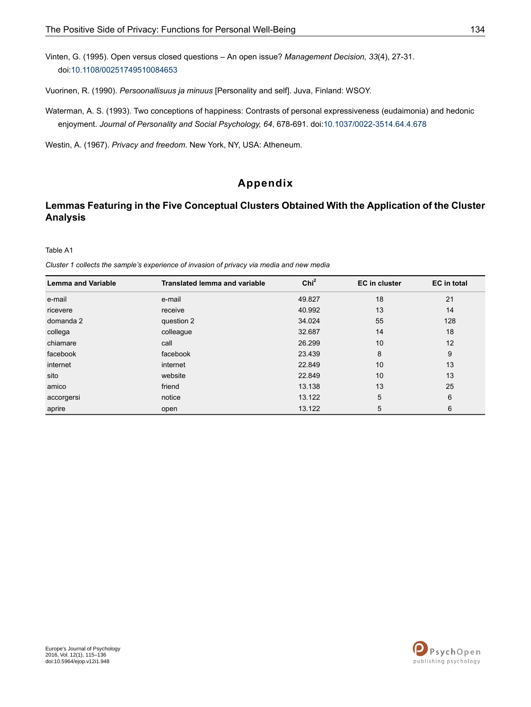<span id="page-19-2"></span>Vinten, G. (1995). Open versus closed questions – An open issue? *Management Decision, 33*(4), 27-31. doi:[10.1108/00251749510084653](http://dx.doi.org/10.1108%2F00251749510084653)

<span id="page-19-4"></span><span id="page-19-1"></span>Vuorinen, R. (1990). *Persoonallisuus ja minuus* [Personality and self]. Juva, Finland: WSOY.

Waterman, A. S. (1993). Two conceptions of happiness: Contrasts of personal expressiveness (eudaimonia) and hedonic enjoyment. *Journal of Personality and Social Psychology, 64*, 678-691. doi:[10.1037/0022-3514.64.4.678](http://dx.doi.org/10.1037%2F0022-3514.64.4.678)

<span id="page-19-3"></span><span id="page-19-0"></span>Westin, A. (1967). *Privacy and freedom*. New York, NY, USA: Atheneum.

# **Appendix**

### **Lemmas Featuring in the Five Conceptual Clusters Obtained With the Application of the Cluster Analysis**

Table A1

*Cluster 1 collects the sample's experience of invasion of privacy via media and new media*

| <b>Lemma and Variable</b> | <b>Translated lemma and variable</b> | Chi <sup>2</sup> | <b>EC</b> in cluster | <b>EC</b> in total |
|---------------------------|--------------------------------------|------------------|----------------------|--------------------|
| e-mail                    | e-mail                               | 49.827           | 18                   | 21                 |
| ricevere                  | receive                              | 40.992           | 13                   | 14                 |
| domanda 2                 | question 2                           | 34.024           | 55                   | 128                |
| collega                   | colleague                            | 32.687           | 14                   | 18                 |
| chiamare                  | call                                 | 26.299           | 10                   | 12                 |
| facebook                  | facebook                             | 23.439           | 8                    | 9                  |
| internet                  | internet                             | 22.849           | 10                   | 13                 |
| sito                      | website                              | 22.849           | 10                   | 13                 |
| amico                     | friend                               | 13.138           | 13                   | 25                 |
| accorgersi                | notice                               | 13.122           | 5                    | 6                  |
| aprire                    | open                                 | 13.122           | 5                    | 6                  |

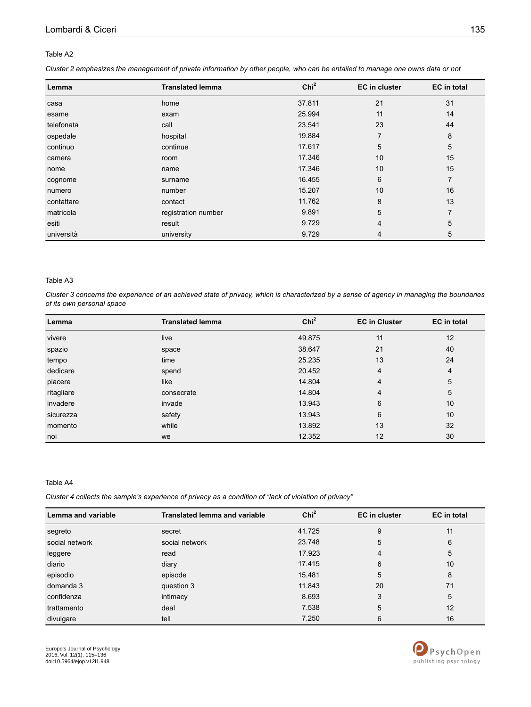#### Table A2

Cluster 2 emphasizes the management of private information by other people, who can be entailed to manage one owns data or not

| Lemma      | <b>Translated lemma</b> | Chi <sup>2</sup> | <b>EC</b> in cluster | <b>EC</b> in total |
|------------|-------------------------|------------------|----------------------|--------------------|
| casa       | home                    | 37.811           | 21                   | 31                 |
| esame      | exam                    | 25.994           | 11                   | 14                 |
| telefonata | call                    | 23.541           | 23                   | 44                 |
| ospedale   | hospital                | 19.884           | 7                    | 8                  |
| continuo   | continue                | 17.617           | 5                    | 5                  |
| camera     | room                    | 17.346           | 10                   | 15                 |
| nome       | name                    | 17.346           | 10                   | 15                 |
| cognome    | surname                 | 16.455           | 6                    | 7                  |
| numero     | number                  | 15.207           | 10                   | 16                 |
| contattare | contact                 | 11.762           | 8                    | 13                 |
| matricola  | registration number     | 9.891            | 5                    | 7                  |
| esiti      | result                  | 9.729            | 4                    | 5                  |
| università | university              | 9.729            | 4                    | 5                  |

#### Table A3

Cluster 3 concerns the experience of an achieved state of privacy, which is characterized by a sense of agency in managing the boundaries *of its own personal space*

| Lemma      | <b>Translated lemma</b> | Chi <sup>2</sup> | <b>EC in Cluster</b> | <b>EC</b> in total |
|------------|-------------------------|------------------|----------------------|--------------------|
| vivere     | live                    | 49.875           | 11                   | 12                 |
| spazio     | space                   | 38.647           | 21                   | 40                 |
| tempo      | time                    | 25.235           | 13                   | 24                 |
| dedicare   | spend                   | 20.452           | 4                    | 4                  |
| piacere    | like                    | 14.804           | 4                    | 5                  |
| ritagliare | consecrate              | 14.804           | 4                    | 5                  |
| invadere   | invade                  | 13.943           | 6                    | 10                 |
| sicurezza  | safety                  | 13.943           | 6                    | 10                 |
| momento    | while                   | 13.892           | 13                   | 32                 |
| noi        | we.                     | 12.352           | 12                   | 30                 |

#### Table A4

*Cluster 4 collects the sample's experience of privacy as a condition of "lack of violation of privacy"*

| Lemma and variable | <b>Translated lemma and variable</b> | Chi <sup>2</sup> | <b>EC</b> in cluster | <b>EC</b> in total |
|--------------------|--------------------------------------|------------------|----------------------|--------------------|
| segreto            | secret                               | 41.725           | 9                    | 11                 |
| social network     | social network                       | 23.748           | 5                    | 6                  |
| leggere            | read                                 | 17.923           | 4                    | 5                  |
| diario             | diary                                | 17.415           | 6                    | 10                 |
| episodio           | episode                              | 15.481           | 5                    | 8                  |
| domanda 3          | question 3                           | 11.843           | 20                   | 71                 |
| confidenza         | intimacy                             | 8.693            | 3                    | 5                  |
| trattamento        | deal                                 | 7.538            | 5                    | 12                 |
| divulgare          | tell                                 | 7.250            | 6                    | 16                 |